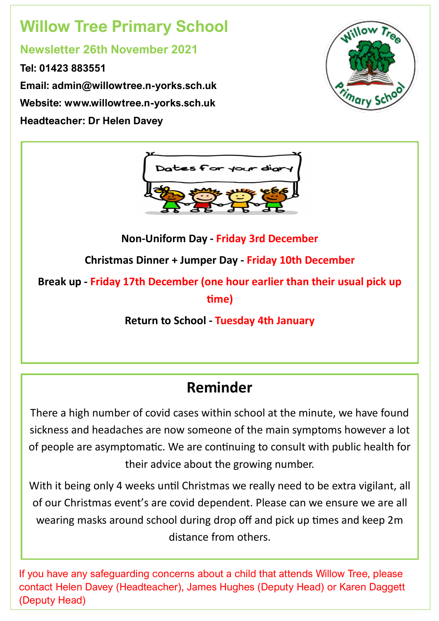# **Willow Tree Primary School**

### **Newsletter 26th November 2021**

**Tel: 01423 883551 Email: admin@willowtree.n-yorks.sch.uk Website: www.willowtree.n-yorks.sch.uk Headteacher: Dr Helen Davey**





**Non-Uniform Day - Friday 3rd December** 

**Christmas Dinner + Jumper Day - Friday 10th December**

**Break up - Friday 17th December (one hour earlier than their usual pick up time)**

**Return to School - Tuesday 4th January** 

## **Reminder**

There a high number of covid cases within school at the minute, we have found sickness and headaches are now someone of the main symptoms however a lot of people are asymptomatic. We are continuing to consult with public health for their advice about the growing number.

With it being only 4 weeks until Christmas we really need to be extra vigilant, all of our Christmas event's are covid dependent. Please can we ensure we are all wearing masks around school during drop off and pick up times and keep 2m distance from others.

If you have any safeguarding concerns about a child that attends Willow Tree, please contact Helen Davey (Headteacher), James Hughes (Deputy Head) or Karen Daggett (Deputy Head)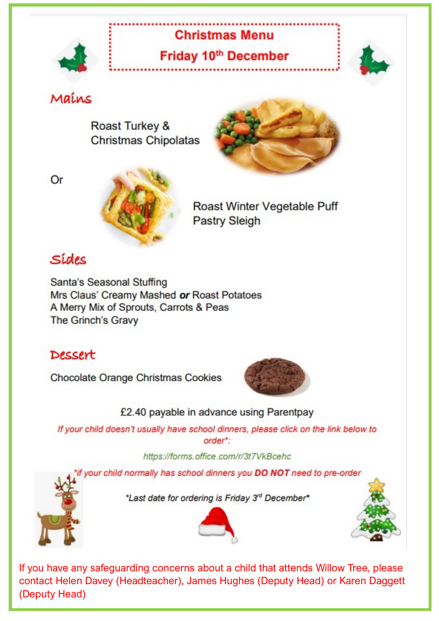

## **Christmas Menu**

Friday 10th December



### Mains

Roast Turkey & **Christmas Chipolatas** 



Or



Roast Winter Vegetable Puff **Pastry Sleigh** 

## Sídes

Santa's Seasonal Stuffing Mrs Claus' Creamy Mashed or Roast Potatoes A Merry Mix of Sprouts, Carrots & Peas The Grinch's Gravy

### Dessert

Chocolate Orange Christmas Cookies



£2.40 payable in advance using Parentpay

If your child doesn't usually have school dinners, please click on the link below to order\*:

#### https://forms.office.com/r/3t7VkBcehc

your child normally has school dinners you DO NOT need to pre-order



\*Last date for ordering is Friday 3rd December\*





If you have any safeguarding concerns about a child that attends Willow Tree, please contact Helen Davey (Headteacher), James Hughes (Deputy Head) or Karen Daggett (Deputy Head)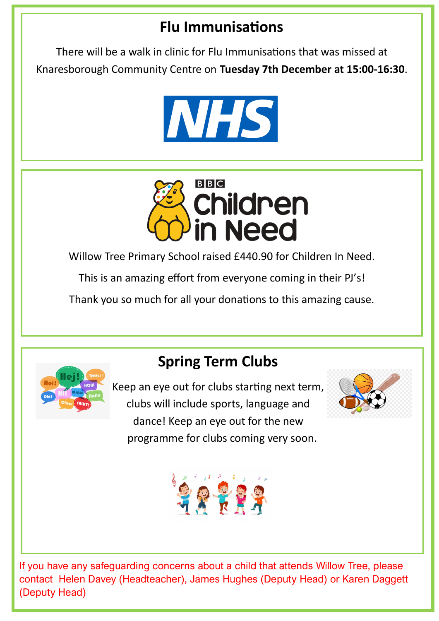## **Flu Immunisations**

There will be a walk in clinic for Flu Immunisations that was missed at Knaresborough Community Centre on **Tuesday 7th December at 15:00-16:30**.





Willow Tree Primary School raised £440.90 for Children In Need.

This is an amazing effort from everyone coming in their PJ's!

Thank you so much for all your donations to this amazing cause.



## **Spring Term Clubs**

Keep an eye out for clubs starting next term, clubs will include sports, language and dance! Keep an eye out for the new programme for clubs coming very soon.





If you have any safeguarding concerns about a child that attends Willow Tree, please contact Helen Davey (Headteacher), James Hughes (Deputy Head) or Karen Daggett (Deputy Head)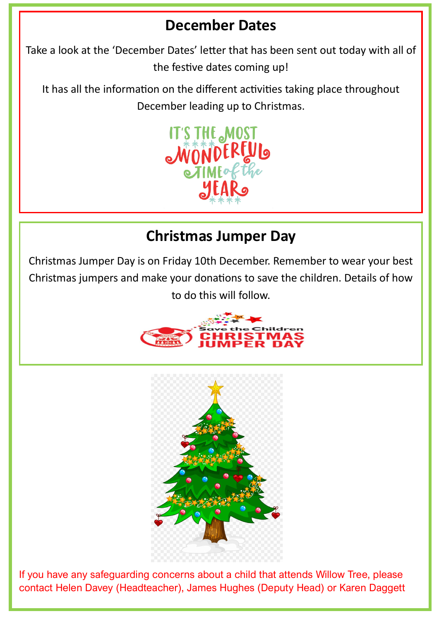## **December Dates**

Take a look at the 'December Dates' letter that has been sent out today with all of the festive dates coming up!

It has all the information on the different activities taking place throughout December leading up to Christmas.



## **Christmas Jumper Day**

Christmas Jumper Day is on Friday 10th December. Remember to wear your best Christmas jumpers and make your donations to save the children. Details of how to do this will follow.





If you have any safeguarding concerns about a child that attends Willow Tree, please contact Helen Davey (Headteacher), James Hughes (Deputy Head) or Karen Daggett